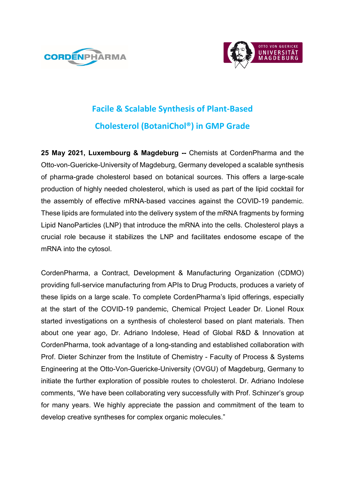



# **Facile & Scalable Synthesis of Plant-Based Cholesterol (BotaniChol®) in GMP Grade**

**25 May 2021, Luxembourg & Magdeburg --** Chemists at CordenPharma and the Otto-von-Guericke-University of Magdeburg, Germany developed a scalable synthesis of pharma-grade cholesterol based on botanical sources. This offers a large-scale production of highly needed cholesterol, which is used as part of the lipid cocktail for the assembly of effective mRNA-based vaccines against the COVID-19 pandemic. These lipids are formulated into the delivery system of the mRNA fragments by forming Lipid NanoParticles (LNP) that introduce the mRNA into the cells. Cholesterol plays a crucial role because it stabilizes the LNP and facilitates endosome escape of the mRNA into the cytosol.

CordenPharma, a Contract, Development & Manufacturing Organization (CDMO) providing full-service manufacturing from APIs to Drug Products, produces a variety of these lipids on a large scale. To complete CordenPharma's lipid offerings, especially at the start of the COVID-19 pandemic, Chemical Project Leader Dr. Lionel Roux started investigations on a synthesis of cholesterol based on plant materials. Then about one year ago, Dr. Adriano Indolese, Head of Global R&D & Innovation at CordenPharma, took advantage of a long-standing and established collaboration with Prof. Dieter Schinzer from the Institute of Chemistry - Faculty of Process & Systems Engineering at the Otto-Von-Guericke-University (OVGU) of Magdeburg, Germany to initiate the further exploration of possible routes to cholesterol. Dr. Adriano Indolese comments, "We have been collaborating very successfully with Prof. Schinzer's group for many years. We highly appreciate the passion and commitment of the team to develop creative syntheses for complex organic molecules."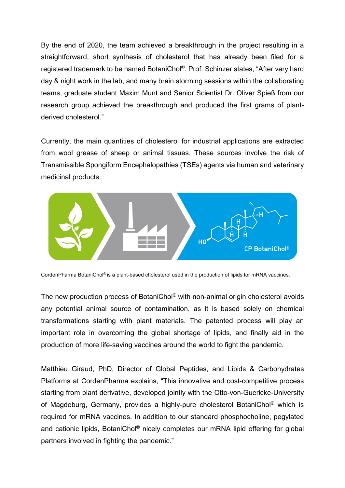By the end of 2020, the team achieved a breakthrough in the project resulting in a straightforward, short synthesis of cholesterol that has already been filed for a registered trademark to be named BotaniChol®. Prof. Schinzer states, "After very hard day & night work in the lab, and many brain storming sessions within the collaborating teams, graduate student Maxim Munt and Senior Scientist Dr. Oliver Spieß from our research group achieved the breakthrough and produced the first grams of plantderived cholesterol."

Currently, the main quantities of cholesterol for industrial applications are extracted from wool grease of sheep or animal tissues. These sources involve the risk of Transmissible Spongiform Encephalopathies (TSEs) agents via human and veterinary medicinal products.



CordenPharma BotaniChol® is a plant-based cholesterol used in the production of lipids for mRNA vaccines.

The new production process of BotaniChol® with non-animal origin cholesterol avoids any potential animal source of contamination, as it is based solely on chemical transformations starting with plant materials. The patented process will play an important role in overcoming the global shortage of lipids, and finally aid in the production of more life-saving vaccines around the world to fight the pandemic.

Matthieu Giraud, PhD, Director of Global Peptides, and Lipids & Carbohydrates Platforms at CordenPharma explains, "This innovative and cost-competitive process starting from plant derivative, developed jointly with the Otto-von-Guericke-University of Magdeburg, Germany, provides a highly-pure cholesterol BotaniChol® which is required for mRNA vaccines. In addition to our standard phosphocholine, pegylated and cationic lipids, BotaniChol<sup>®</sup> nicely completes our mRNA lipid offering for global partners involved in fighting the pandemic."